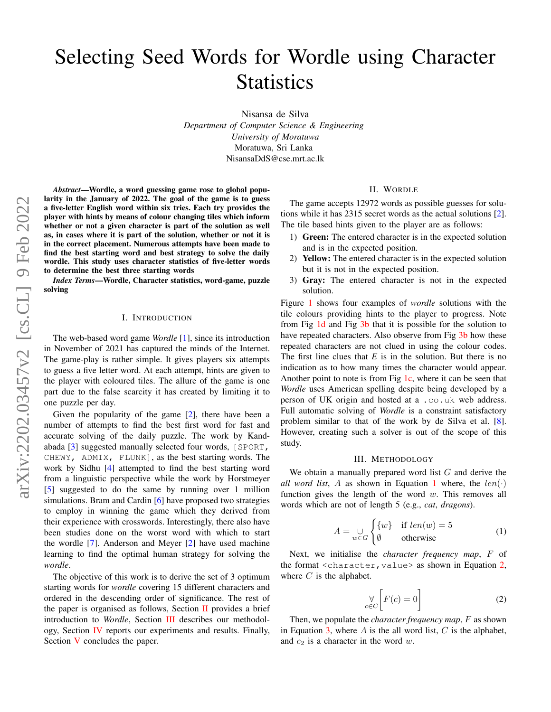# Selecting Seed Words for Wordle using Character **Statistics**

Nisansa de Silva *Department of Computer Science & Engineering University of Moratuwa* Moratuwa, Sri Lanka NisansaDdS@cse.mrt.ac.lk

*Abstract*—Wordle, a word guessing game rose to global popularity in the January of 2022. The goal of the game is to guess a five-letter English word within six tries. Each try provides the player with hints by means of colour changing tiles which inform whether or not a given character is part of the solution as well as, in cases where it is part of the solution, whether or not it is in the correct placement. Numerous attempts have been made to find the best starting word and best strategy to solve the daily wordle. This study uses character statistics of five-letter words to determine the best three starting words

*Index Terms*—Wordle, Character statistics, word-game, puzzle solving

### I. INTRODUCTION

The web-based word game *Wordle* [\[1\]](#page-2-0), since its introduction in November of 2021 has captured the minds of the Internet. The game-play is rather simple. It gives players six attempts to guess a five letter word. At each attempt, hints are given to the player with coloured tiles. The allure of the game is one part due to the false scarcity it has created by limiting it to one puzzle per day.

Given the popularity of the game [\[2\]](#page-2-1), there have been a number of attempts to find the best first word for fast and accurate solving of the daily puzzle. The work by Kandabada [\[3\]](#page-2-2) suggested manually selected four words, [SPORT, CHEWY, ADMIX, FLUNK], as the best starting words. The work by Sidhu [\[4\]](#page-3-0) attempted to find the best starting word from a linguistic perspective while the work by Horstmeyer [\[5\]](#page-3-1) suggested to do the same by running over 1 million simulations. Bram and Cardin [\[6\]](#page-3-2) have proposed two strategies to employ in winning the game which they derived from their experience with crosswords. Interestingly, there also have been studies done on the worst word with which to start the wordle [\[7\]](#page-3-3). Anderson and Meyer [\[2\]](#page-2-1) have used machine learning to find the optimal human strategy for solving the *wordle*.

The objective of this work is to derive the set of 3 optimum starting words for *wordle* covering 15 different characters and ordered in the descending order of significance. The rest of the paper is organised as follows, Section  $II$  provides a brief introduction to *Wordle*, Section [III](#page-0-1) describes our methodology, Section [IV](#page-2-3) reports our experiments and results. Finally, Section [V](#page-2-4) concludes the paper.

## II. WORDLE

<span id="page-0-0"></span>The game accepts 12972 words as possible guesses for solutions while it has 2315 secret words as the actual solutions [\[2\]](#page-2-1). The tile based hints given to the player are as follows:

- 1) Green: The entered character is in the expected solution and is in the expected position.
- 2) Yellow: The entered character is in the expected solution but it is not in the expected position.
- 3) Gray: The entered character is not in the expected solution.

Figure [1](#page-1-0) shows four examples of *wordle* solutions with the tile colours providing hints to the player to progress. Note from Fig [1d](#page-1-0) and Fig [3b](#page-2-5) that it is possible for the solution to have repeated characters. Also observe from Fig [3b](#page-2-5) how these repeated characters are not clued in using the colour codes. The first line clues that *E* is in the solution. But there is no indication as to how many times the character would appear. Another point to note is from Fig  $1c$ , where it can be seen that *Wordle* uses American spelling despite being developed by a person of UK origin and hosted at a .co.uk web address. Full automatic solving of *Wordle* is a constraint satisfactory problem similar to that of the work by de Silva et al. [\[8\]](#page-3-4). However, creating such a solver is out of the scope of this study.

#### III. METHODOLOGY

<span id="page-0-1"></span>We obtain a manually prepared word list G and derive the *all word list*, A as shown in Equation [1](#page-0-2) where, the  $len(\cdot)$ function gives the length of the word  $w$ . This removes all words which are not of length 5 (e.g., *cat*, *dragons*).

<span id="page-0-2"></span>
$$
A = \bigcup_{w \in G} \begin{cases} \{w\} & \text{if } len(w) = 5\\ \emptyset & \text{otherwise} \end{cases}
$$
 (1)

Next, we initialise the *character frequency map*, F of the format  $\langle$ character, value> as shown in Equation [2,](#page-0-3) where  $C$  is the alphabet.

<span id="page-0-3"></span>
$$
\bigvee_{c \in C} \left[ F(c) = 0 \right] \tag{2}
$$

Then, we populate the *character frequency map*, F as shown in Equation [3,](#page-1-1) where  $A$  is the all word list,  $C$  is the alphabet, and  $c_2$  is a character in the word w.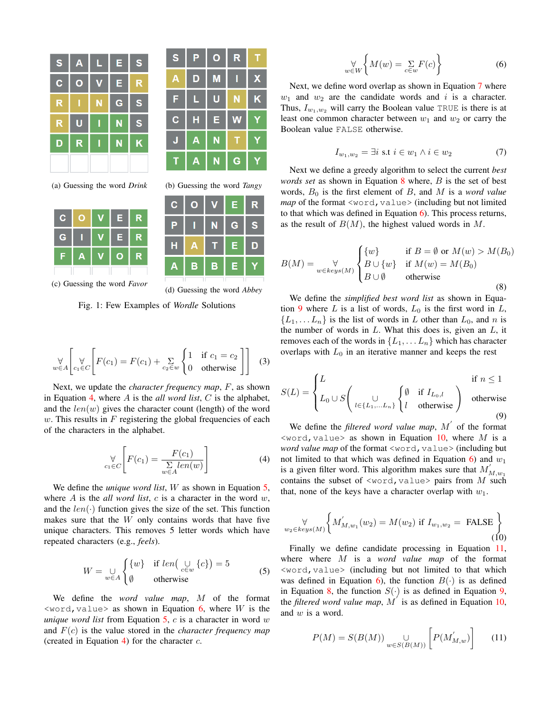<span id="page-1-0"></span>

| S           | A            | L                       | E | S                       |
|-------------|--------------|-------------------------|---|-------------------------|
| $\mathbf C$ | $\mathbf{o}$ | $\overline{\mathsf{V}}$ | E | R                       |
| R           |              | N                       | G | S                       |
| R           | U            |                         | N | $\mathbf S$             |
| D           | R            |                         | N | $\overline{\mathsf{K}}$ |
|             |              |                         |   |                         |

(a) Guessing the word *Drink* (b) Guessing the word *Tangy*

| C.          |   | Е  | R |
|-------------|---|----|---|
| $\mathbf G$ |   | E  | R |
| ٠           | Α | O) | R |
|             |   |    |   |

(c) Guessing the word *Favor*



| $\mathbf{C}$ | $\overline{O}$  | $\overline{\mathsf{v}}$ | E            | $\mathsf{R}$ |
|--------------|-----------------|-------------------------|--------------|--------------|
| P            | $\blacklozenge$ | $\mathbf N$             | $\mathbf{G}$ | $\mathbf{s}$ |
| H            | A               | т                       | $\mathsf E$  | D            |
| $\mathbf{A}$ | $\mathbf B$     | $\mathbf B$             | Е            | Y            |
|              |                 |                         |              |              |

(d) Guessing the word *Abbey*

Fig. 1: Few Examples of *Wordle* Solutions

<span id="page-1-1"></span>
$$
\bigvee_{w \in A} \left[ \bigvee_{c_1 \in C} \left[ F(c_1) = F(c_1) + \sum_{c_2 \in w} \begin{cases} 1 & \text{if } c_1 = c_2 \\ 0 & \text{otherwise} \end{cases} \right] \right] \tag{3}
$$

Next, we update the *character frequency map*, F, as shown in Equation [4,](#page-1-2) where A is the *all word list*, C is the alphabet, and the  $len(w)$  gives the character count (length) of the word  $w$ . This results in  $F$  registering the global frequencies of each of the characters in the alphabet.

<span id="page-1-2"></span>
$$
\bigtriangledown_{c_1 \in C} \left[ F(c_1) = \frac{F(c_1)}{\sum\limits_{w \in A} len(w)} \right] \tag{4}
$$

We define the *unique word list*, W as shown in Equation [5,](#page-1-3) where  $A$  is the *all word list*,  $c$  is a character in the word  $w$ , and the  $len(\cdot)$  function gives the size of the set. This function makes sure that the  $W$  only contains words that have five unique characters. This removes 5 letter words which have repeated characters (e.g., *feels*).

<span id="page-1-3"></span>
$$
W = \bigcup_{w \in A} \begin{cases} \{w\} & \text{if } len\left(\bigcup_{c \in w} \{c\}\right) = 5\\ \emptyset & \text{otherwise} \end{cases}
$$
 (5)

We define the *word value map*, M of the format  $\langle$ word, value> as shown in Equation [6,](#page-1-4) where W is the *unique word list* from Equation [5,](#page-1-3) c is a character in word w and F(c) is the value stored in the *character frequency map* (created in Equation [4\)](#page-1-2) for the character  $c$ .

<span id="page-1-4"></span>
$$
\bigvee_{w \in W} \left\{ M(w) = \sum_{c \in w} F(c) \right\} \tag{6}
$$

Next, we define word overlap as shown in Equation [7](#page-1-5) where  $w_1$  and  $w_2$  are the candidate words and i is a character. Thus,  $I_{w_1,w_2}$  will carry the Boolean value TRUE is there is at least one common character between  $w_1$  and  $w_2$  or carry the Boolean value FALSE otherwise.

<span id="page-1-5"></span>
$$
I_{w_1, w_2} = \exists i \text{ s.t } i \in w_1 \land i \in w_2 \tag{7}
$$

Next we define a greedy algorithm to select the current *best words set* as shown in Equation [8](#page-1-6) where, B is the set of best words,  $B_0$  is the first element of  $B$ , and  $M$  is a *word value map* of the format <word, value> (including but not limited to that which was defined in Equation  $\ddot{\mathbf{6}}$ ). This process returns, as the result of  $B(M)$ , the highest valued words in M.

<span id="page-1-6"></span>
$$
B(M) = \bigvee_{w \in keys(M)} \begin{cases} \{w\} & \text{if } B = \emptyset \text{ or } M(w) > M(B_0) \\ B \cup \{w\} & \text{if } M(w) = M(B_0) \\ B \cup \emptyset & \text{otherwise} \end{cases}
$$
(8)

We define the *simplified best word list* as shown in Equa-tion [9](#page-1-7) where  $L$  is a list of words,  $L_0$  is the first word in  $L$ ,  $\{L_1, \ldots L_n\}$  is the list of words in L other than  $L_0$ , and n is the number of words in  $L$ . What this does is, given an  $L$ , it removes each of the words in  $\{L_1, \ldots L_n\}$  which has character overlaps with  $L_0$  in an iterative manner and keeps the rest

<span id="page-1-7"></span>
$$
S(L) = \begin{cases} L & \text{if } n \le 1 \\ L_0 \cup S\left(\bigcup_{l \in \{L_1, \dots, L_n\}} \begin{cases} \emptyset & \text{if } I_{L_0,l} \\ l & \text{otherwise} \end{cases}\right) & \text{otherwise} \end{cases}
$$
(9)

We define the *filtered word value map*,  $M'$  of the format  $\leq$ word, value> as shown in Equation [10,](#page-1-8) where M is a *word value map* of the format <word, value> (including but not limited to that which was defined in Equation  $6$ ) and  $w_1$ is a given filter word. This algorithm makes sure that  $M'_{M,w_1}$ contains the subset of  $\langle\text{word},\text{value}\rangle$  pairs from M such that, none of the keys have a character overlap with  $w_1$ .

<span id="page-1-8"></span>
$$
\forall \limits_{w_2 \in keys(M)} \left\{ M'_{M,w_1}(w_2) = M(w_2) \text{ if } I_{w_1,w_2} = \text{ FALSE} \right\} \tag{10}
$$

Finally we define candidate processing in Equation [11,](#page-1-9) where where M is a *word value map* of the format <word,value> (including but not limited to that which was defined in Equation [6\)](#page-1-4), the function  $B(\cdot)$  is as defined in Equation [8,](#page-1-6) the function  $S(\cdot)$  is as defined in Equation [9,](#page-1-7) the *filtered word value map*,  $\overline{M}'$  is as defined in Equation [10,](#page-1-8) and w is a word.

<span id="page-1-9"></span>
$$
P(M) = S(B(M)) \bigcup_{w \in S(B(M))} \left[ P(M'_{M,w}) \right] \tag{11}
$$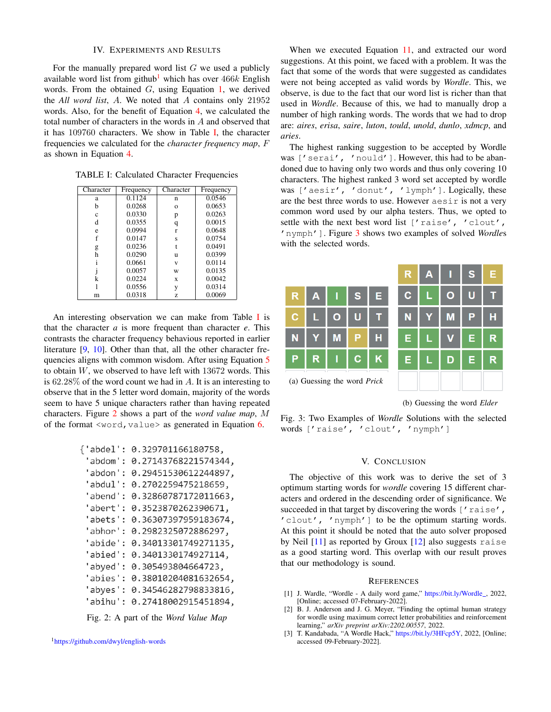## IV. EXPERIMENTS AND RESULTS

<span id="page-2-3"></span>For the manually prepared word list  $G$  we used a publicly available word list from github<sup>[1](#page-2-6)</sup> which has over  $466k$  English words. From the obtained  $G$ , using Equation [1,](#page-0-2) we derived the *All word list*, A. We noted that A contains only 21952 words. Also, for the benefit of Equation [4,](#page-1-2) we calculated the total number of characters in the words in A and observed that it has 109760 characters. We show in Table [I,](#page-2-7) the character frequencies we calculated for the *character frequency map*, F as shown in Equation [4.](#page-1-2)

<span id="page-2-7"></span>TABLE I: Calculated Character Frequencies

| Character | Frequency | Character | Frequency |
|-----------|-----------|-----------|-----------|
| a         | 0.1124    | n         | 0.0546    |
| h         | 0.0268    | $\Omega$  | 0.0653    |
| c         | 0.0330    | p         | 0.0263    |
| d         | 0.0355    | q         | 0.0015    |
| e         | 0.0994    | r         | 0.0648    |
|           | 0.0147    | Ś         | 0.0754    |
| g         | 0.0236    |           | 0.0491    |
| h         | 0.0290    | u         | 0.0399    |
|           | 0.0661    | v         | 0.0114    |
|           | 0.0057    | W         | 0.0135    |
| k         | 0.0224    | X         | 0.0042    |
|           | 0.0556    | y         | 0.0314    |
| m         | 0.0318    | Z         | 0.0069    |

An interesting observation we can make from Table  $\bf{I}$  $\bf{I}$  $\bf{I}$  is that the character *a* is more frequent than character *e*. This contrasts the character frequency behavious reported in earlier literature [\[9,](#page-3-5) [10\]](#page-3-6). Other than that, all the other character frequencies aligns with common wisdom. After using Equation [5](#page-1-3) to obtain  $W$ , we observed to have left with  $13672$  words. This is  $62.28\%$  of the word count we had in A. It is an interesting to observe that in the 5 letter word domain, majority of the words seem to have 5 unique characters rather than having repeated characters. Figure [2](#page-2-8) shows a part of the *word value map*, M of the format  $\langle word,value \rangle$  as generated in Equation [6.](#page-1-4)

```
{'abdel': 0.329701166180758,
'abdom': 0.27143768221574344,
'abdon': 0.29451530612244897,
'abdul': 0.2702259475218659,
'abend': 0.32860787172011663,
'abert': 0.3523870262390671,
'abets': 0.36307397959183674,
'abhor': 0.2982325072886297,
'abide': 0.34013301749271135,
'abied': 0.3401330174927114,
'abyed': 0.305493804664723,
'abies': 0.38010204081632654,
'abyes': 0.34546282798833816,
'abihu': 0.27418002915451894,
```
Fig. 2: A part of the *Word Value Map*

<span id="page-2-6"></span><sup>1</sup><https://github.com/dwyl/english-words>

When we executed Equation [11,](#page-1-9) and extracted our word suggestions. At this point, we faced with a problem. It was the fact that some of the words that were suggested as candidates were not being accepted as valid words by *Wordle*. This, we observe, is due to the fact that our word list is richer than that used in *Wordle*. Because of this, we had to manually drop a number of high ranking words. The words that we had to drop are: *aires*, *erisa*, *saire*, *luton*, *tould*, *unold*, *dunlo*, *xdmcp*, and *aries*.

The highest ranking suggestion to be accepted by Wordle was ['serai', 'nould']. However, this had to be abandoned due to having only two words and thus only covering 10 characters. The highest ranked 3 word set accepted by wordle was ['aesir', 'donut', 'lymph']. Logically, these are the best three words to use. However aesir is not a very common word used by our alpha testers. Thus, we opted to settle with the next best word list ['raise', 'clout', 'nymph']. Figure [3](#page-2-5) shows two examples of solved *Wordle*s with the selected words.

<span id="page-2-5"></span>

(b) Guessing the word *Elder*

Fig. 3: Two Examples of *Wordle* Solutions with the selected words ['raise', 'clout', 'nymph']

## V. CONCLUSION

<span id="page-2-4"></span>The objective of this work was to derive the set of 3 optimum starting words for *wordle* covering 15 different characters and ordered in the descending order of significance. We succeeded in that target by discovering the words ['raise', 'clout', 'nymph'] to be the optimum starting words. At this point it should be noted that the auto solver proposed by Neil [\[11\]](#page-3-7) as reported by Groux [\[12\]](#page-3-8) also suggests raise as a good starting word. This overlap with our result proves that our methodology is sound.

#### **REFERENCES**

- <span id="page-2-0"></span>[1] J. Wardle, "Wordle - A daily word game," [https://bit.ly/Wordle](https://bit.ly/Wordle_)\_, 2022, [Online; accessed 07-February-2022].
- <span id="page-2-1"></span>[2] B. J. Anderson and J. G. Meyer, "Finding the optimal human strategy for wordle using maximum correct letter probabilities and reinforcement learning," *arXiv preprint arXiv:2202.00557*, 2022.
- <span id="page-2-2"></span>[3] T. Kandabada, "A Wordle Hack," [https://bit.ly/3HFcp5Y,](https://bit.ly/3HFcp5Y) 2022, [Online; accessed 09-February-2022].